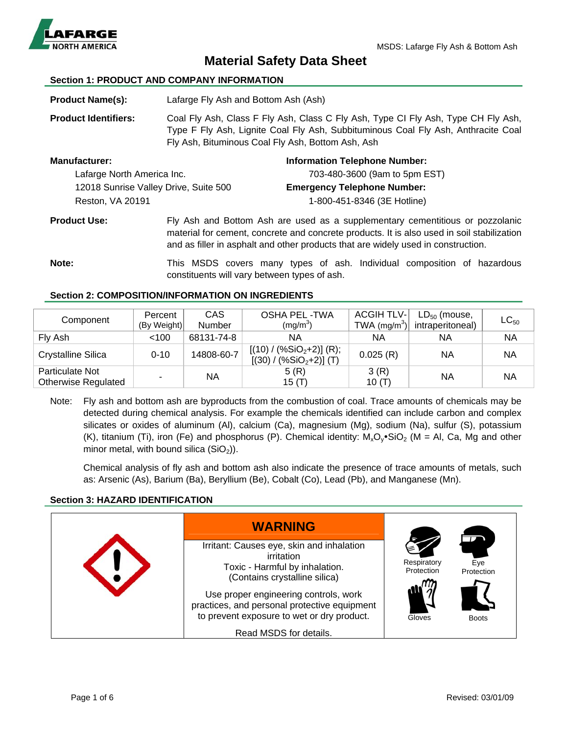

# **Material Safety Data Sheet**

# **Section 1: PRODUCT AND COMPANY INFORMATION**

| <b>Product Name(s):</b>               | Lafarge Fly Ash and Bottom Ash (Ash)                                                                                                                                                                                                                             |  |  |
|---------------------------------------|------------------------------------------------------------------------------------------------------------------------------------------------------------------------------------------------------------------------------------------------------------------|--|--|
| <b>Product Identifiers:</b>           | Coal Fly Ash, Class F Fly Ash, Class C Fly Ash, Type CI Fly Ash, Type CH Fly Ash,<br>Type F Fly Ash, Lignite Coal Fly Ash, Subbituminous Coal Fly Ash, Anthracite Coal<br>Fly Ash, Bituminous Coal Fly Ash, Bottom Ash, Ash                                      |  |  |
| <b>Manufacturer:</b>                  | <b>Information Telephone Number:</b>                                                                                                                                                                                                                             |  |  |
| Lafarge North America Inc.            | 703-480-3600 (9am to 5pm EST)                                                                                                                                                                                                                                    |  |  |
| 12018 Sunrise Valley Drive, Suite 500 | <b>Emergency Telephone Number:</b>                                                                                                                                                                                                                               |  |  |
| Reston, VA 20191                      | 1-800-451-8346 (3E Hotline)                                                                                                                                                                                                                                      |  |  |
| <b>Product Use:</b>                   | Fly Ash and Bottom Ash are used as a supplementary cementitious or pozzolanic<br>material for cement, concrete and concrete products. It is also used in soil stabilization<br>and as filler in asphalt and other products that are widely used in construction. |  |  |

**Note:** This MSDS covers many types of ash. Individual composition of hazardous constituents will vary between types of ash.

# **Section 2: COMPOSITION/INFORMATION ON INGREDIENTS**

| Component                                            | Percent<br>(By Weight) | <b>CAS</b><br>Number | <b>OSHA PEL-TWA</b><br>(mg/m <sup>3</sup> )               | <b>ACGIH TLV-</b><br>$TWA$ (mg/m $^3$ ) | $LD_{50}$ (mouse,<br>intraperitoneal) | $LC_{50}$ |
|------------------------------------------------------|------------------------|----------------------|-----------------------------------------------------------|-----------------------------------------|---------------------------------------|-----------|
| Fly Ash                                              | $<$ 100                | 68131-74-8           | ΝA                                                        | ΝA                                      | NА                                    | ΝA        |
| <b>Crystalline Silica</b>                            | $0 - 10$               | 14808-60-7           | $[(10) / (\%SiO2+2)]$ (R);<br>$(%SiO2+2)]$ (T)<br>[(30) / | 0.025(R)                                | ΝA                                    | ΝA        |
| <b>Particulate Not</b><br><b>Otherwise Regulated</b> |                        | <b>NA</b>            | 5(R)<br>15 $(T)$                                          | 3(R)<br>10(T)                           | NA                                    | ΝA        |

Note: Fly ash and bottom ash are byproducts from the combustion of coal. Trace amounts of chemicals may be detected during chemical analysis. For example the chemicals identified can include carbon and complex silicates or oxides of aluminum (Al), calcium (Ca), magnesium (Mg), sodium (Na), sulfur (S), potassium (K), titanium (Ti), iron (Fe) and phosphorus (P). Chemical identity:  $M_xO_y \cdot \text{SiO}_2$  (M = Al, Ca, Mg and other minor metal, with bound silica  $(SiO<sub>2</sub>)$ ).

Chemical analysis of fly ash and bottom ash also indicate the presence of trace amounts of metals, such as: Arsenic (As), Barium (Ba), Beryllium (Be), Cobalt (Co), Lead (Pb), and Manganese (Mn).

# **Section 3: HAZARD IDENTIFICATION**

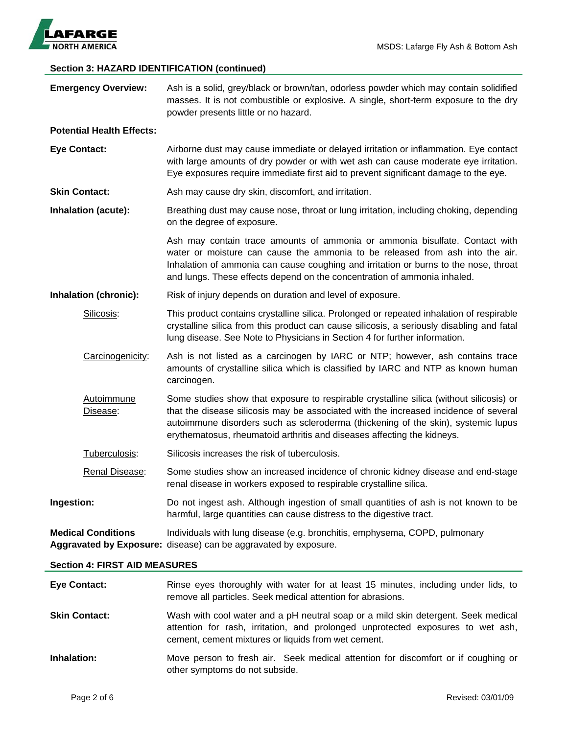

# **Section 3: HAZARD IDENTIFICATION (continued)**

| Page 2 of 6                          | Revised: 03/01/09                                                                                                                                                                                                                                                                                                                               |  |  |  |
|--------------------------------------|-------------------------------------------------------------------------------------------------------------------------------------------------------------------------------------------------------------------------------------------------------------------------------------------------------------------------------------------------|--|--|--|
| Inhalation:                          | Move person to fresh air. Seek medical attention for discomfort or if coughing or<br>other symptoms do not subside.                                                                                                                                                                                                                             |  |  |  |
| <b>Skin Contact:</b>                 | Wash with cool water and a pH neutral soap or a mild skin detergent. Seek medical<br>attention for rash, irritation, and prolonged unprotected exposures to wet ash,<br>cement, cement mixtures or liquids from wet cement.                                                                                                                     |  |  |  |
| <b>Eye Contact:</b>                  | Rinse eyes thoroughly with water for at least 15 minutes, including under lids, to<br>remove all particles. Seek medical attention for abrasions.                                                                                                                                                                                               |  |  |  |
| <b>Section 4: FIRST AID MEASURES</b> |                                                                                                                                                                                                                                                                                                                                                 |  |  |  |
| <b>Medical Conditions</b>            | Individuals with lung disease (e.g. bronchitis, emphysema, COPD, pulmonary<br>Aggravated by Exposure: disease) can be aggravated by exposure.                                                                                                                                                                                                   |  |  |  |
| Ingestion:                           | Do not ingest ash. Although ingestion of small quantities of ash is not known to be<br>harmful, large quantities can cause distress to the digestive tract.                                                                                                                                                                                     |  |  |  |
| Renal Disease:                       | Some studies show an increased incidence of chronic kidney disease and end-stage<br>renal disease in workers exposed to respirable crystalline silica.                                                                                                                                                                                          |  |  |  |
| Tuberculosis:                        | Silicosis increases the risk of tuberculosis.                                                                                                                                                                                                                                                                                                   |  |  |  |
| <b>Autoimmune</b><br>Disease:        | Some studies show that exposure to respirable crystalline silica (without silicosis) or<br>that the disease silicosis may be associated with the increased incidence of several<br>autoimmune disorders such as scleroderma (thickening of the skin), systemic lupus<br>erythematosus, rheumatoid arthritis and diseases affecting the kidneys. |  |  |  |
| Carcinogenicity:                     | Ash is not listed as a carcinogen by IARC or NTP; however, ash contains trace<br>amounts of crystalline silica which is classified by IARC and NTP as known human<br>carcinogen.                                                                                                                                                                |  |  |  |
| Silicosis:                           | This product contains crystalline silica. Prolonged or repeated inhalation of respirable<br>crystalline silica from this product can cause silicosis, a seriously disabling and fatal<br>lung disease. See Note to Physicians in Section 4 for further information.                                                                             |  |  |  |
| Inhalation (chronic):                | Risk of injury depends on duration and level of exposure.                                                                                                                                                                                                                                                                                       |  |  |  |
|                                      | Ash may contain trace amounts of ammonia or ammonia bisulfate. Contact with<br>water or moisture can cause the ammonia to be released from ash into the air.<br>Inhalation of ammonia can cause coughing and irritation or burns to the nose, throat<br>and lungs. These effects depend on the concentration of ammonia inhaled.                |  |  |  |
| <b>Inhalation (acute):</b>           | Breathing dust may cause nose, throat or lung irritation, including choking, depending<br>on the degree of exposure.                                                                                                                                                                                                                            |  |  |  |
| <b>Skin Contact:</b>                 | Ash may cause dry skin, discomfort, and irritation.                                                                                                                                                                                                                                                                                             |  |  |  |
| <b>Eye Contact:</b>                  | Airborne dust may cause immediate or delayed irritation or inflammation. Eye contact<br>with large amounts of dry powder or with wet ash can cause moderate eye irritation.<br>Eye exposures require immediate first aid to prevent significant damage to the eye.                                                                              |  |  |  |
| <b>Potential Health Effects:</b>     |                                                                                                                                                                                                                                                                                                                                                 |  |  |  |
| <b>Emergency Overview:</b>           | Ash is a solid, grey/black or brown/tan, odorless powder which may contain solidified<br>masses. It is not combustible or explosive. A single, short-term exposure to the dry<br>powder presents little or no hazard.                                                                                                                           |  |  |  |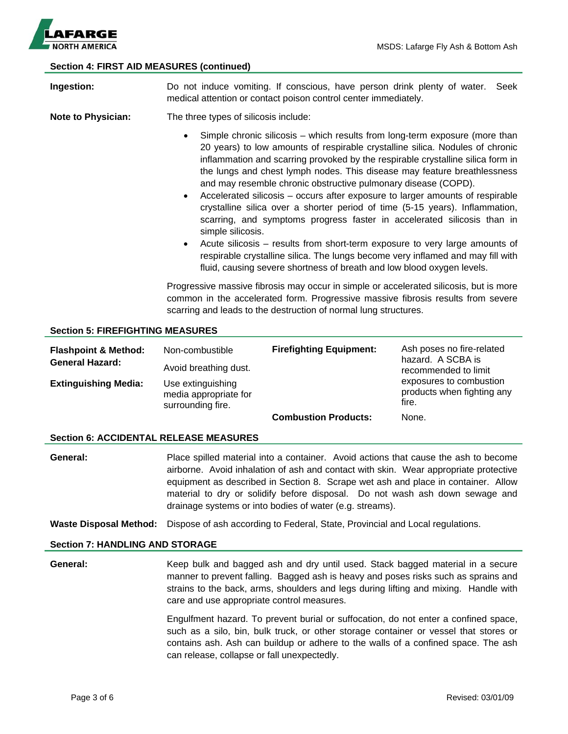

## **Section 4: FIRST AID MEASURES (continued)**

| Ingestion:                                                | Do not induce vomiting. If conscious, have person drink plenty of water.<br>Seek<br>medical attention or contact poison control center immediately.                                                                                                                                                                                                                                                                                                                                                                                                                                                                                                                                                                                                                                                                                                                                                                                  |                                |                                                                                                                                          |  |
|-----------------------------------------------------------|--------------------------------------------------------------------------------------------------------------------------------------------------------------------------------------------------------------------------------------------------------------------------------------------------------------------------------------------------------------------------------------------------------------------------------------------------------------------------------------------------------------------------------------------------------------------------------------------------------------------------------------------------------------------------------------------------------------------------------------------------------------------------------------------------------------------------------------------------------------------------------------------------------------------------------------|--------------------------------|------------------------------------------------------------------------------------------------------------------------------------------|--|
| <b>Note to Physician:</b>                                 | The three types of silicosis include:                                                                                                                                                                                                                                                                                                                                                                                                                                                                                                                                                                                                                                                                                                                                                                                                                                                                                                |                                |                                                                                                                                          |  |
|                                                           | Simple chronic silicosis – which results from long-term exposure (more than<br>20 years) to low amounts of respirable crystalline silica. Nodules of chronic<br>inflammation and scarring provoked by the respirable crystalline silica form in<br>the lungs and chest lymph nodes. This disease may feature breathlessness<br>and may resemble chronic obstructive pulmonary disease (COPD).<br>Accelerated silicosis - occurs after exposure to larger amounts of respirable<br>$\bullet$<br>crystalline silica over a shorter period of time (5-15 years). Inflammation,<br>scarring, and symptoms progress faster in accelerated silicosis than in<br>simple silicosis.<br>Acute silicosis - results from short-term exposure to very large amounts of<br>$\bullet$<br>respirable crystalline silica. The lungs become very inflamed and may fill with<br>fluid, causing severe shortness of breath and low blood oxygen levels. |                                |                                                                                                                                          |  |
|                                                           | Progressive massive fibrosis may occur in simple or accelerated silicosis, but is more<br>common in the accelerated form. Progressive massive fibrosis results from severe<br>scarring and leads to the destruction of normal lung structures.                                                                                                                                                                                                                                                                                                                                                                                                                                                                                                                                                                                                                                                                                       |                                |                                                                                                                                          |  |
| <b>Section 5: FIREFIGHTING MEASURES</b>                   |                                                                                                                                                                                                                                                                                                                                                                                                                                                                                                                                                                                                                                                                                                                                                                                                                                                                                                                                      |                                |                                                                                                                                          |  |
| <b>Flashpoint &amp; Method:</b><br><b>General Hazard:</b> | Non-combustible<br>Avoid breathing dust.                                                                                                                                                                                                                                                                                                                                                                                                                                                                                                                                                                                                                                                                                                                                                                                                                                                                                             | <b>Firefighting Equipment:</b> | Ash poses no fire-related<br>hazard. A SCBA is<br>recommended to limit<br>exposures to combustion<br>products when fighting any<br>fire. |  |
| <b>Extinguishing Media:</b>                               | Use extinguishing<br>media appropriate for<br>surrounding fire.                                                                                                                                                                                                                                                                                                                                                                                                                                                                                                                                                                                                                                                                                                                                                                                                                                                                      |                                |                                                                                                                                          |  |

**Combustion Products:** None.

#### **Section 6: ACCIDENTAL RELEASE MEASURES**

**General:** Place spilled material into a container. Avoid actions that cause the ash to become airborne. Avoid inhalation of ash and contact with skin. Wear appropriate protective equipment as described in Section 8. Scrape wet ash and place in container. Allow material to dry or solidify before disposal. Do not wash ash down sewage and drainage systems or into bodies of water (e.g. streams).

**Waste Disposal Method:** Dispose of ash according to Federal, State, Provincial and Local regulations.

#### **Section 7: HANDLING AND STORAGE**

**General:** Keep bulk and bagged ash and dry until used. Stack bagged material in a secure manner to prevent falling. Bagged ash is heavy and poses risks such as sprains and strains to the back, arms, shoulders and legs during lifting and mixing. Handle with care and use appropriate control measures.

> Engulfment hazard. To prevent burial or suffocation, do not enter a confined space, such as a silo, bin, bulk truck, or other storage container or vessel that stores or contains ash. Ash can buildup or adhere to the walls of a confined space. The ash can release, collapse or fall unexpectedly.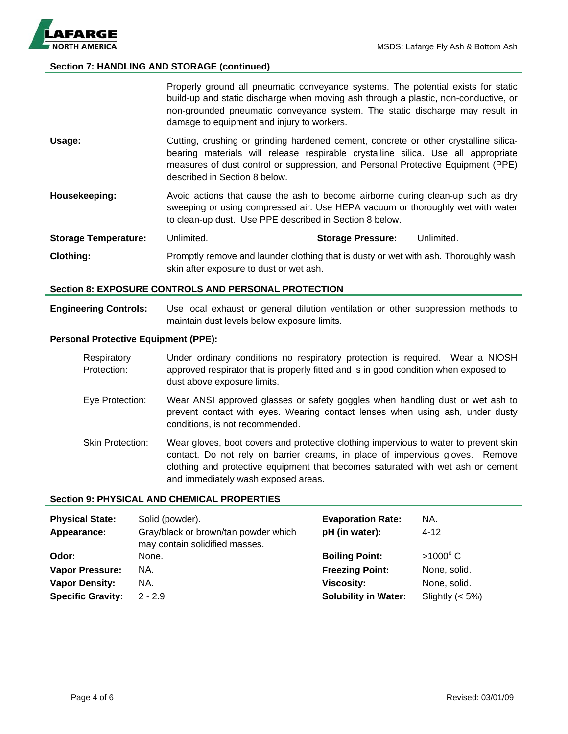

# **Section 7: HANDLING AND STORAGE (continued)**

|                             | Properly ground all pneumatic conveyance systems. The potential exists for static<br>build-up and static discharge when moving ash through a plastic, non-conductive, or<br>non-grounded pneumatic conveyance system. The static discharge may result in<br>damage to equipment and injury to workers. |                          |            |
|-----------------------------|--------------------------------------------------------------------------------------------------------------------------------------------------------------------------------------------------------------------------------------------------------------------------------------------------------|--------------------------|------------|
| Usage:                      | Cutting, crushing or grinding hardened cement, concrete or other crystalline silica-<br>bearing materials will release respirable crystalline silica. Use all appropriate<br>measures of dust control or suppression, and Personal Protective Equipment (PPE)<br>described in Section 8 below.         |                          |            |
| Housekeeping:               | Avoid actions that cause the ash to become airborne during clean-up such as dry<br>sweeping or using compressed air. Use HEPA vacuum or thoroughly wet with water<br>to clean-up dust. Use PPE described in Section 8 below.                                                                           |                          |            |
| <b>Storage Temperature:</b> | Unlimited.                                                                                                                                                                                                                                                                                             | <b>Storage Pressure:</b> | Unlimited. |
| Clothing:                   | Promptly remove and launder clothing that is dusty or wet with ash. Thoroughly wash<br>skin after exposure to dust or wet ash.                                                                                                                                                                         |                          |            |

#### **Section 8: EXPOSURE CONTROLS AND PERSONAL PROTECTION**

**Engineering Controls:** Use local exhaust or general dilution ventilation or other suppression methods to maintain dust levels below exposure limits.

### **Personal Protective Equipment (PPE):**

| Respiratory | Under ordinary conditions no respiratory protection is required. Wear a NIOSH        |
|-------------|--------------------------------------------------------------------------------------|
| Protection: | approved respirator that is properly fitted and is in good condition when exposed to |
|             | dust above exposure limits.                                                          |

- Eye Protection: Wear ANSI approved glasses or safety goggles when handling dust or wet ash to prevent contact with eyes. Wearing contact lenses when using ash, under dusty conditions, is not recommended.
- Skin Protection: Wear gloves, boot covers and protective clothing impervious to water to prevent skin contact. Do not rely on barrier creams, in place of impervious gloves. Remove clothing and protective equipment that becomes saturated with wet ash or cement and immediately wash exposed areas.

## **Section 9: PHYSICAL AND CHEMICAL PROPERTIES**

| <b>Physical State:</b><br>Appearance: | Solid (powder).<br>Gray/black or brown/tan powder which<br>may contain solidified masses. | <b>Evaporation Rate:</b><br>pH (in water): | NA.<br>$4 - 12$    |
|---------------------------------------|-------------------------------------------------------------------------------------------|--------------------------------------------|--------------------|
| Odor:                                 | None.                                                                                     | <b>Boiling Point:</b>                      | $>1000^{\circ}$ C  |
| <b>Vapor Pressure:</b>                | NA.                                                                                       | <b>Freezing Point:</b>                     | None, solid.       |
| <b>Vapor Density:</b>                 | NA.                                                                                       | <b>Viscosity:</b>                          | None, solid.       |
| <b>Specific Gravity:</b>              | $2 - 2.9$                                                                                 | <b>Solubility in Water:</b>                | Slightly $(< 5\%)$ |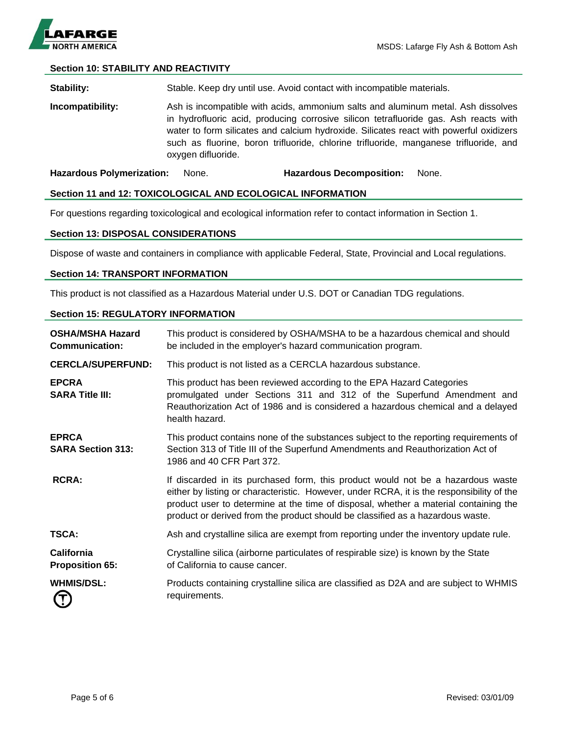

# **Section 10: STABILITY AND REACTIVITY**

**Stability:** Stable. Keep dry until use. Avoid contact with incompatible materials.

**Incompatibility:** Ash is incompatible with acids, ammonium salts and aluminum metal. Ash dissolves in hydrofluoric acid, producing corrosive silicon tetrafluoride gas. Ash reacts with water to form silicates and calcium hydroxide. Silicates react with powerful oxidizers such as fluorine, boron trifluoride, chlorine trifluoride, manganese trifluoride, and oxygen difluoride.

**Hazardous Polymerization:** None. **Hazardous Decomposition:** None.

#### **Section 11 and 12: TOXICOLOGICAL AND ECOLOGICAL INFORMATION**

For questions regarding toxicological and ecological information refer to contact information in Section 1.

#### **Section 13: DISPOSAL CONSIDERATIONS**

Dispose of waste and containers in compliance with applicable Federal, State, Provincial and Local regulations.

#### **Section 14: TRANSPORT INFORMATION**

This product is not classified as a Hazardous Material under U.S. DOT or Canadian TDG regulations.

#### **Section 15: REGULATORY INFORMATION**

| <b>OSHA/MSHA Hazard</b><br><b>Communication:</b> | This product is considered by OSHA/MSHA to be a hazardous chemical and should<br>be included in the employer's hazard communication program.                                                                                                                                                                                                           |
|--------------------------------------------------|--------------------------------------------------------------------------------------------------------------------------------------------------------------------------------------------------------------------------------------------------------------------------------------------------------------------------------------------------------|
| <b>CERCLA/SUPERFUND:</b>                         | This product is not listed as a CERCLA hazardous substance.                                                                                                                                                                                                                                                                                            |
| <b>EPCRA</b><br><b>SARA Title III:</b>           | This product has been reviewed according to the EPA Hazard Categories<br>promulgated under Sections 311 and 312 of the Superfund Amendment and<br>Reauthorization Act of 1986 and is considered a hazardous chemical and a delayed<br>health hazard.                                                                                                   |
| <b>EPRCA</b><br><b>SARA Section 313:</b>         | This product contains none of the substances subject to the reporting requirements of<br>Section 313 of Title III of the Superfund Amendments and Reauthorization Act of<br>1986 and 40 CFR Part 372.                                                                                                                                                  |
| <b>RCRA:</b>                                     | If discarded in its purchased form, this product would not be a hazardous waste<br>either by listing or characteristic. However, under RCRA, it is the responsibility of the<br>product user to determine at the time of disposal, whether a material containing the<br>product or derived from the product should be classified as a hazardous waste. |
| TSCA:                                            | Ash and crystalline silica are exempt from reporting under the inventory update rule.                                                                                                                                                                                                                                                                  |
| <b>California</b><br><b>Proposition 65:</b>      | Crystalline silica (airborne particulates of respirable size) is known by the State<br>of California to cause cancer.                                                                                                                                                                                                                                  |
| <b>WHMIS/DSL:</b><br>6                           | Products containing crystalline silica are classified as D2A and are subject to WHMIS<br>requirements.                                                                                                                                                                                                                                                 |